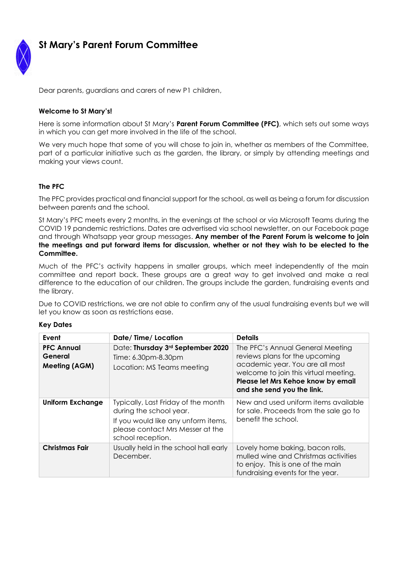

# **St Mary's Parent Forum Committee**

Dear parents, guardians and carers of new P1 children,

#### **Welcome to St Mary's!**

Here is some information about St Mary's **Parent Forum Committee (PFC)**, which sets out some ways in which you can get more involved in the life of the school.

We very much hope that some of you will chose to join in, whether as members of the Committee, part of a particular initiative such as the garden, the library, or simply by attending meetings and making your views count.

### **The PFC**

The PFC provides practical and financial support for the school, as well as being a forum for discussion between parents and the school.

St Mary's PFC meets every 2 months, in the evenings at the school or via Microsoft Teams during the COVID 19 pandemic restrictions. Dates are advertised via school newsletter, on our Facebook page and through Whatsapp year group messages. **Any member of the Parent Forum is welcome to join the meetings and put forward items for discussion, whether or not they wish to be elected to the Committee.** 

Much of the PFC's activity happens in smaller groups, which meet independently of the main committee and report back. These groups are a great way to get involved and make a real difference to the education of our children. The groups include the garden, fundraising events and the library.

Due to COVID restrictions, we are not able to confirm any of the usual fundraising events but we will let you know as soon as restrictions ease.

| Event                                         | Date/Time/Location                                                                                                                                             | <b>Details</b>                                                                                                                                                                                                     |
|-----------------------------------------------|----------------------------------------------------------------------------------------------------------------------------------------------------------------|--------------------------------------------------------------------------------------------------------------------------------------------------------------------------------------------------------------------|
| <b>PFC Annual</b><br>General<br>Meeting (AGM) | Date: Thursday 3rd September 2020<br>Time: 6.30pm-8.30pm<br>Location: MS Teams meeting                                                                         | The PFC's Annual General Meeting<br>reviews plans for the upcoming<br>academic year. You are all most<br>welcome to join this virtual meeting.<br>Please let Mrs Kehoe know by email<br>and she send you the link. |
| <b>Uniform Exchange</b>                       | Typically, Last Friday of the month<br>during the school year.<br>If you would like any unform items,<br>please contact Mrs Messer at the<br>school reception. | New and used uniform items available<br>for sale. Proceeds from the sale go to<br>benefit the school.                                                                                                              |
| Christmas Fair                                | Usually held in the school hall early<br>December.                                                                                                             | Lovely home baking, bacon rolls,<br>mulled wine and Christmas activities<br>to enjoy. This is one of the main<br>fundraising events for the year.                                                                  |

#### **Key Dates**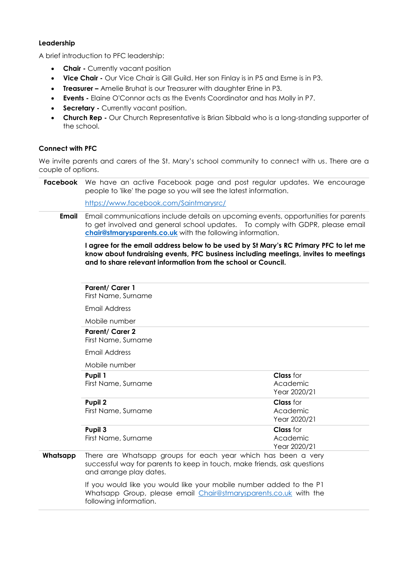#### **Leadership**

A brief introduction to PFC leadership:

- **Chair -** Currently vacant position
- **Vice Chair -** Our Vice Chair is Gill Guild. Her son Finlay is in P5 and Esme is in P3.
- **Treasurer –** Amelie Bruhat is our Treasurer with daughter Erine in P3.
- **Events -** Elaine O'Connor acts as the Events Coordinator and has Molly in P7.
- **Secretary -** Currently vacant position.
- **Church Rep -** Our Church Representative is Brian Sibbald who is a long-standing supporter of the school.

### **Connect with PFC**

We invite parents and carers of the St. Mary's school community to connect with us. There are a couple of options.

**Facebook** We have an active Facebook page and post regular updates. We encourage people to 'like' the page so you will see the latest information.

<https://www.facebook.com/Saintmarysrc/>

**Email** Email communications include details on upcoming events, opportunities for parents to get involved and general school updates. To comply with GDPR, please email **[chair@stmarysparents.co.uk](mailto:chair@stmarysparents.co.uk)** with the following information.

#### **I agree for the email address below to be used by St Mary's RC Primary PFC to let me know about fundraising events, PFC business including meetings, invites to meetings and to share relevant information from the school or Council.**

## **Parent/ Carer 1**

First Name, Surname

Email Address

Mobile number

#### **Parent/ Carer 2**

First Name, Surname

Email Address

Mobile number

| Pupil 1<br>First Name, Surname | <b>Class</b> for<br>Academic<br>Year 2020/21 |
|--------------------------------|----------------------------------------------|
| Pupil 2<br>First Name, Surname | <b>Class</b> for<br>Academic<br>Year 2020/21 |
| Pupil 3<br>First Name, Surname | <b>Class</b> for<br>Academic<br>Year 2020/21 |

**Whatsapp** There are Whatsapp groups for each year which has been a very successful way for parents to keep in touch, make friends, ask questions and arrange play dates.

> If you would like you would like your mobile number added to the P1 Whatsapp Group, please email [Chair@stmarysparents.co.uk](mailto:Chair@stmarysparents.co.uk) with the following information.